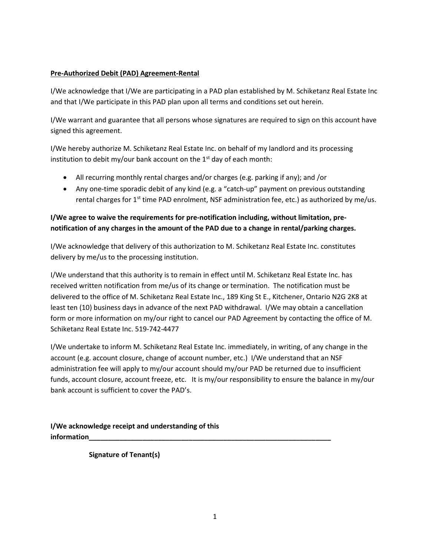## Pre-Authorized Debit (PAD) Agreement-Rental

I/We acknowledge that I/We are participating in a PAD plan established by M. Schiketanz Real Estate Inc and that I/We participate in this PAD plan upon all terms and conditions set out herein.

I/We warrant and guarantee that all persons whose signatures are required to sign on this account have signed this agreement.

I/We hereby authorize M. Schiketanz Real Estate Inc. on behalf of my landlord and its processing institution to debit my/our bank account on the  $1<sup>st</sup>$  day of each month:

- All recurring monthly rental charges and/or charges (e.g. parking if any); and /or
- Any one-time sporadic debit of any kind (e.g. a "catch-up" payment on previous outstanding rental charges for  $1^{st}$  time PAD enrolment, NSF administration fee, etc.) as authorized by me/us.

## I/We agree to waive the requirements for pre-notification including, without limitation, prenotification of any charges in the amount of the PAD due to a change in rental/parking charges.

I/We acknowledge that delivery of this authorization to M. Schiketanz Real Estate Inc. constitutes delivery by me/us to the processing institution.

I/We understand that this authority is to remain in effect until M. Schiketanz Real Estate Inc. has received written notification from me/us of its change or termination. The notification must be delivered to the office of M. Schiketanz Real Estate Inc., 189 King St E., Kitchener, Ontario N2G 2K8 at least ten (10) business days in advance of the next PAD withdrawal. I/We may obtain a cancellation form or more information on my/our right to cancel our PAD Agreement by contacting the office of M. Schiketanz Real Estate Inc. 519-742-4477

I/We undertake to inform M. Schiketanz Real Estate Inc. immediately, in writing, of any change in the account (e.g. account closure, change of account number, etc.) I/We understand that an NSF administration fee will apply to my/our account should my/our PAD be returned due to insufficient funds, account closure, account freeze, etc. It is my/our responsibility to ensure the balance in my/our bank account is sufficient to cover the PAD's.

I/We acknowledge receipt and understanding of this information\_\_\_\_\_\_\_\_\_\_\_\_\_\_\_\_\_\_\_\_\_\_\_\_\_\_\_\_\_\_\_\_\_\_\_\_\_\_\_\_\_\_\_\_\_\_\_\_\_\_\_\_\_\_\_\_\_\_\_\_\_\_\_

Signature of Tenant(s)